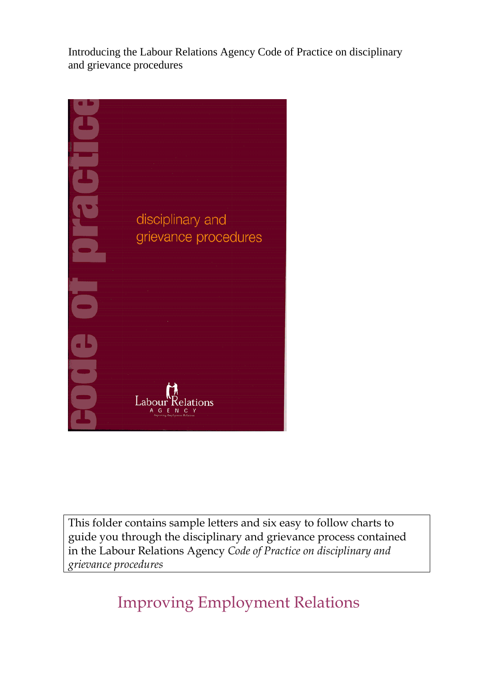Introducing the Labour Relations Agency Code of Practice on disciplinary and grievance procedures



This folder contains sample letters and six easy to follow charts to guide you through the disciplinary and grievance process contained in the Labour Relations Agency *Code of Practice on disciplinary and grievance procedures*

Improving Employment Relations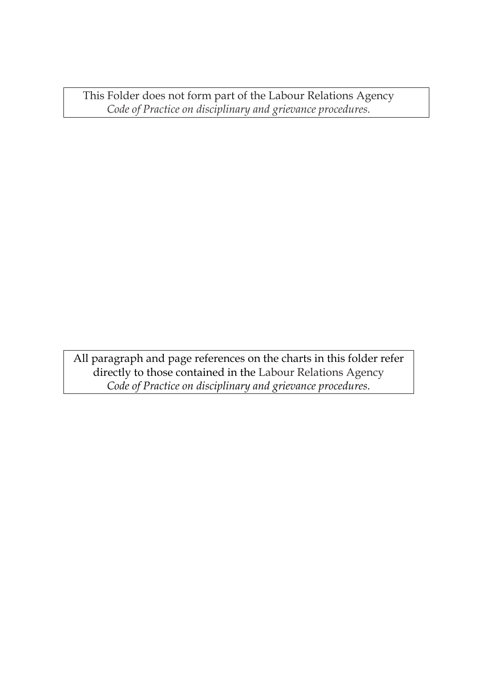This Folder does not form part of the Labour Relations Agency *Code of Practice on disciplinary and grievance procedures.* 

All paragraph and page references on the charts in this folder refer directly to those contained in the Labour Relations Agency *Code of Practice on disciplinary and grievance procedures.*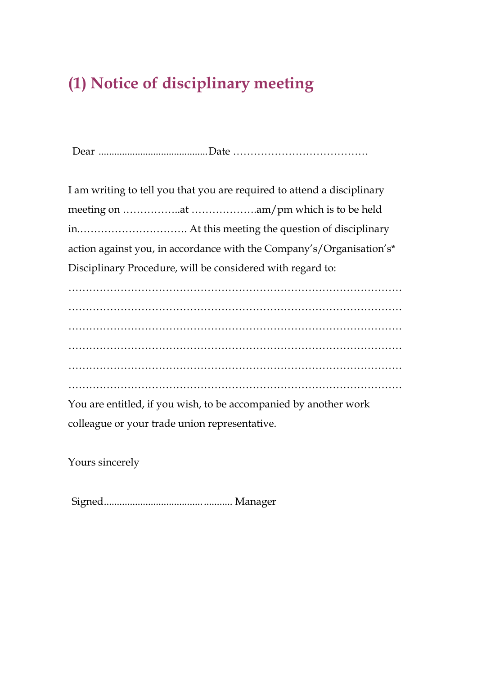### **(1) Notice of disciplinary meeting**

Dear ..........................................Date …………………………………

I am writing to tell you that you are required to attend a disciplinary meeting on ……………..at ……………….am/pm which is to be held in.…………………………. At this meeting the question of disciplinary action against you, in accordance with the Company's/Organisation's\* Disciplinary Procedure, will be considered with regard to:

…………………………………………………………………………………… …………………………………………………………………………………… …………………………………………………………………………………… …………………………………………………………………………………… …………………………………………………………………………………… ……………………………………………………………………………………

You are entitled, if you wish, to be accompanied by another work colleague or your trade union representative.

Yours sincerely

Signed................................................. Manager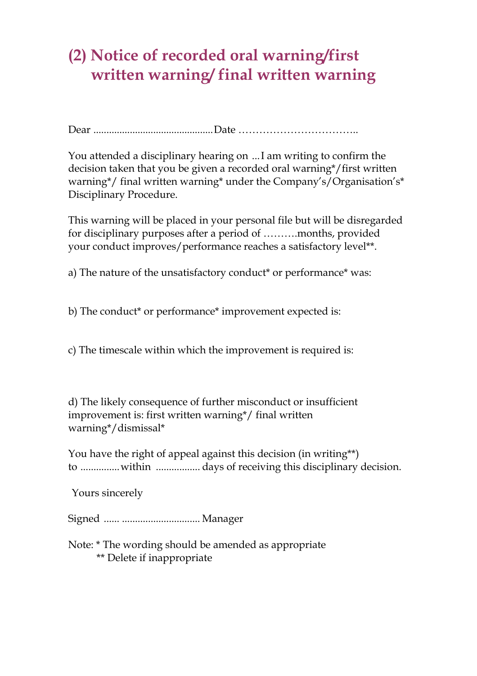#### **(2) Notice of recorded oral warning/first written warning/ final written warning**

Dear ..............................................Date ……………………………..

You attended a disciplinary hearing on ...I am writing to confirm the decision taken that you be given a recorded oral warning\*/first written warning\*/ final written warning\* under the Company's/Organisation's\* Disciplinary Procedure.

This warning will be placed in your personal file but will be disregarded for disciplinary purposes after a period of ……….months, provided your conduct improves/performance reaches a satisfactory level\*\*.

a) The nature of the unsatisfactory conduct\* or performance\* was:

b) The conduct\* or performance\* improvement expected is:

c) The timescale within which the improvement is required is:

d) The likely consequence of further misconduct or insufficient improvement is: first written warning\*/ final written warning\*/dismissal\*

You have the right of appeal against this decision (in writing\*\*) to ...............within ................. days of receiving this disciplinary decision.

Yours sincerely

Signed ...... .............................. Manager

Note: \* The wording should be amended as appropriate \*\* Delete if inappropriate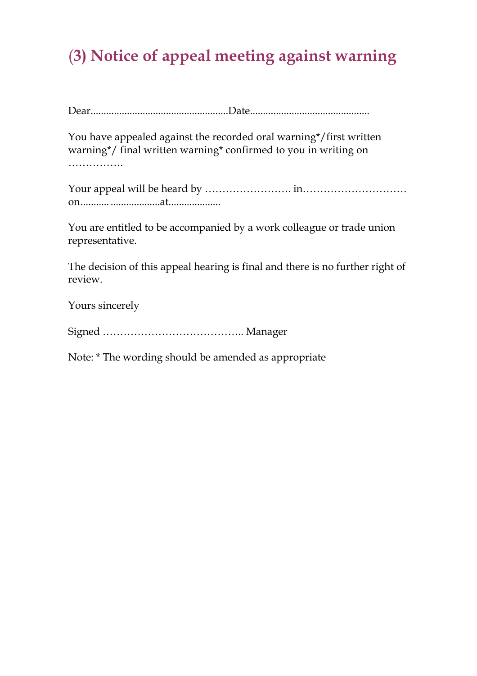# (**3) Notice of appeal meeting against warning**

Dear.....................................................Date..............................................

You have appealed against the recorded oral warning\*/first written warning\*/ final written warning\* confirmed to you in writing on ……………

Your appeal will be heard by ……………………. in………………………… on........... ...................at....................

You are entitled to be accompanied by a work colleague or trade union representative.

The decision of this appeal hearing is final and there is no further right of review.

Yours sincerely

Signed ………………………………….. Manager

Note: \* The wording should be amended as appropriate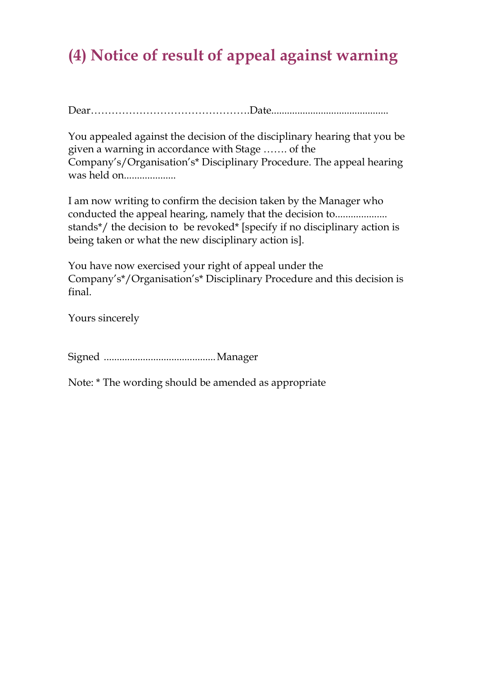### **(4) Notice of result of appeal against warning**

Dear……………………………………….Date.............................................

You appealed against the decision of the disciplinary hearing that you be given a warning in accordance with Stage ……. of the Company's/Organisation's\* Disciplinary Procedure. The appeal hearing was held on....................

I am now writing to confirm the decision taken by the Manager who conducted the appeal hearing, namely that the decision to.................... stands\*/ the decision to be revoked\* [specify if no disciplinary action is being taken or what the new disciplinary action is].

You have now exercised your right of appeal under the Company's\*/Organisation's\* Disciplinary Procedure and this decision is final.

Yours sincerely

Signed ...........................................Manager

Note: \* The wording should be amended as appropriate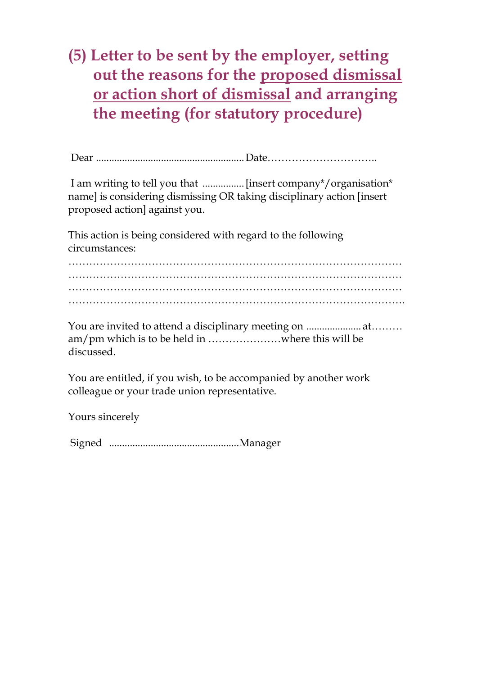#### **(5) Letter to be sent by the employer, setting out the reasons for the proposed dismissal or action short of dismissal and arranging the meeting (for statutory procedure)**

 I am writing to tell you that ................ [insert company\*/organisation\* name] is considering dismissing OR taking disciplinary action [insert proposed action] against you.

This action is being considered with regard to the following circumstances:

…………………………………………………………………………………… …………………………………………………………………………………… …………………………………………………………………………………… …………………………………………………………………………………….

You are invited to attend a disciplinary meeting on ..................... at……… am/pm which is to be held in …………………where this will be discussed.

You are entitled, if you wish, to be accompanied by another work colleague or your trade union representative.

Yours sincerely

Signed ..................................................Manager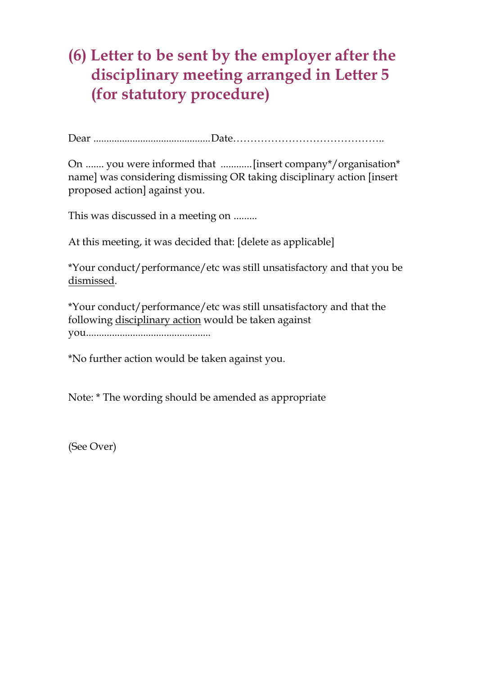#### **(6) Letter to be sent by the employer after the disciplinary meeting arranged in Letter 5 (for statutory procedure)**

Dear .............................................Date……………………………………..

On ....... you were informed that ............[insert company\*/organisation\* name] was considering dismissing OR taking disciplinary action [insert proposed action] against you.

This was discussed in a meeting on .........

At this meeting, it was decided that: [delete as applicable]

\*Your conduct/performance/etc was still unsatisfactory and that you be dismissed.

\*Your conduct/performance/etc was still unsatisfactory and that the following disciplinary action would be taken against you................................................

\*No further action would be taken against you.

Note: \* The wording should be amended as appropriate

(See Over)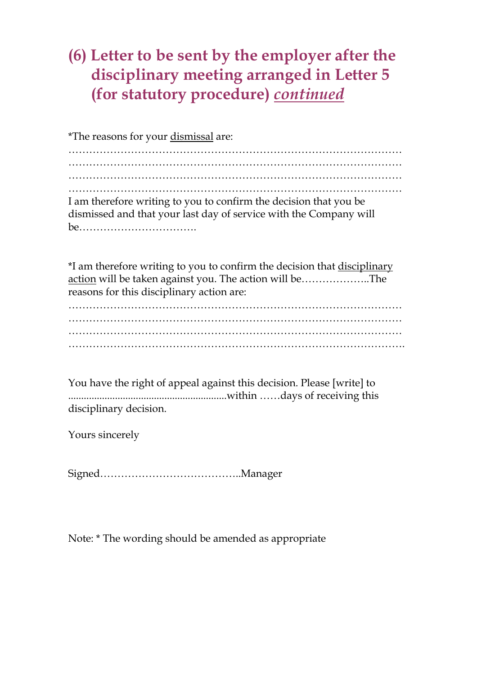#### **(6) Letter to be sent by the employer after the disciplinary meeting arranged in Letter 5 (for statutory procedure)** *continued*

\*The reasons for your dismissal are:

…………………………………………………………………………………… …………………………………………………………………………………… …………………………………………………………………………………… …………………………………………………………………………………… I am therefore writing to you to confirm the decision that you be dismissed and that your last day of service with the Company will be…………………………….

\*I am therefore writing to you to confirm the decision that disciplinary action will be taken against you. The action will be………………..The reasons for this disciplinary action are:

…………………………………………………………………………………… ……………………………………………………………………………………  $\mathcal{L}^{\text{max}}$ …………………………………………………………………………………….

You have the right of appeal against this decision. Please [write] to .............................................................within ……days of receiving this disciplinary decision.

Yours sincerely

Signed…………………………………..Manager

Note: \* The wording should be amended as appropriate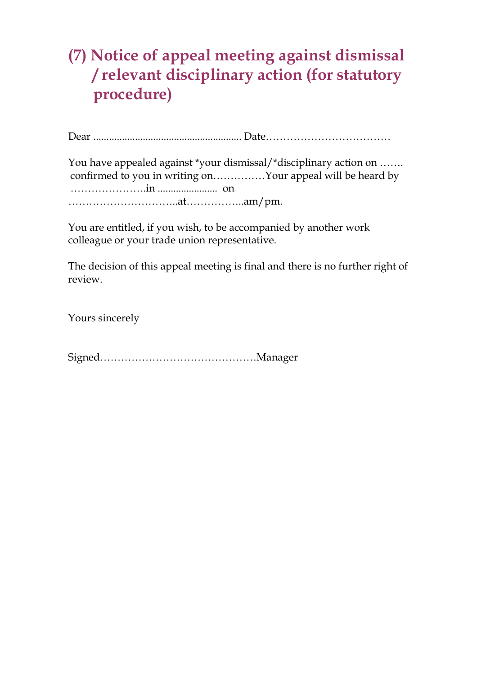#### **(7) Notice of appeal meeting against dismissal / relevant disciplinary action (for statutory procedure)**

Dear ......................................................... Date………………………………

You have appealed against \*your dismissal/\*disciplinary action on ....... confirmed to you in writing on……………Your appeal will be heard by ………………….in ....................... on …………………………..at……………..am/pm.

You are entitled, if you wish, to be accompanied by another work colleague or your trade union representative.

The decision of this appeal meeting is final and there is no further right of review.

Yours sincerely

Signed………………………………………Manager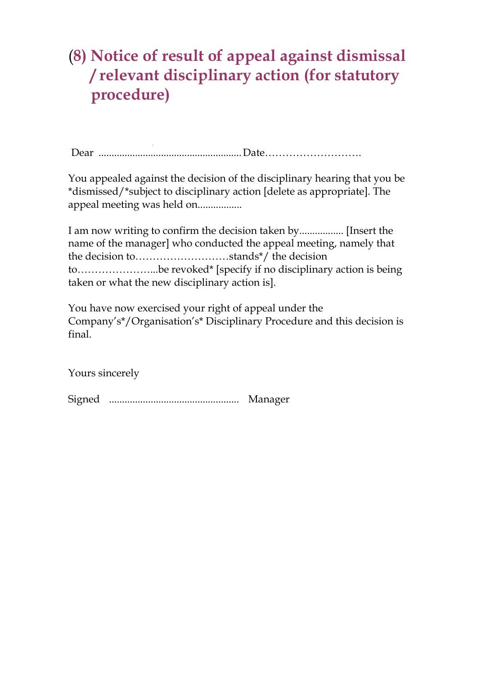#### (**8) Notice of result of appeal against dismissal / relevant disciplinary action (for statutory procedure)**

Dear ....................................................... Date……………………….

You appealed against the decision of the disciplinary hearing that you be \*dismissed/\*subject to disciplinary action [delete as appropriate]. The appeal meeting was held on.................

I am now writing to confirm the decision taken by................. [Insert the name of the manager] who conducted the appeal meeting, namely that the decision to………………………stands\*/ the decision to…………………...be revoked\* [specify if no disciplinary action is being taken or what the new disciplinary action is].

You have now exercised your right of appeal under the Company's\*/Organisation's\* Disciplinary Procedure and this decision is final.

Yours sincerely

Signed .................................................. Manager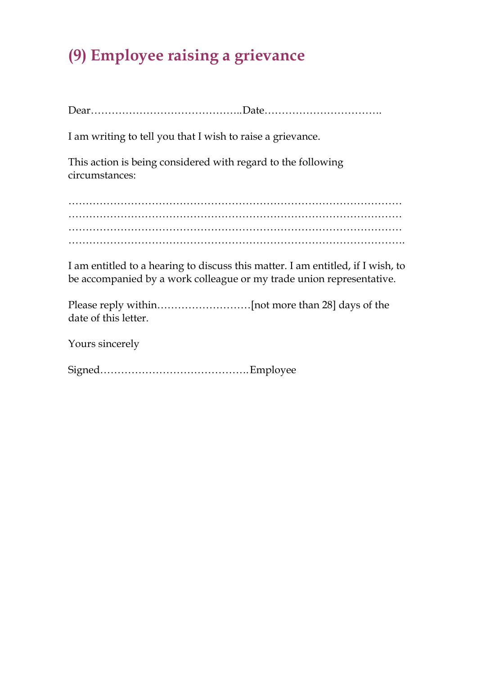# **(9) Employee raising a grievance**

Dear…………………………………….. Date…………………………….

I am writing to tell you that I wish to raise a grievance.

This action is being considered with regard to the following circumstances:

…………………………………………………………………………………… …………………………………………………………………………………… …………………………………………………………………………………… …………………………………………………………………………………….

I am entitled to a hearing to discuss this matter. I am entitled, if I wish, to be accompanied by a work colleague or my trade union representative.

Please reply within………………………[not more than 28] days of the date of this letter.

Yours sincerely

Signed……………………………………. Employee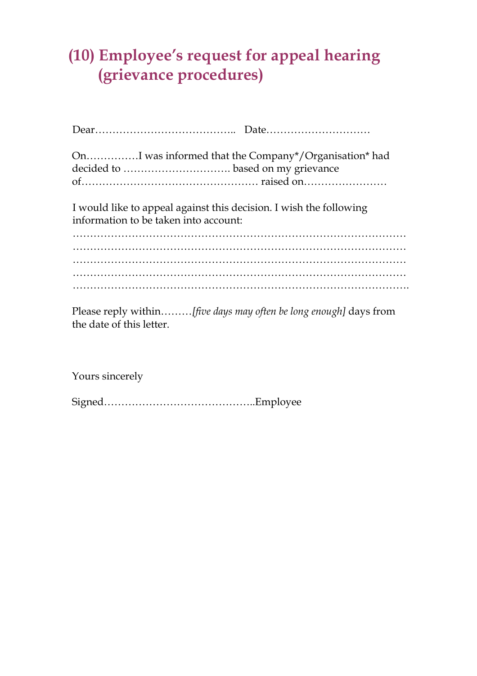#### **(10) Employee's request for appeal hearing (grievance procedures)**

| OnI was informed that the Company*/Organisation* had                                                        |  |  |
|-------------------------------------------------------------------------------------------------------------|--|--|
| I would like to appeal against this decision. I wish the following<br>information to be taken into account: |  |  |
|                                                                                                             |  |  |
|                                                                                                             |  |  |
|                                                                                                             |  |  |

Please reply within………*[five days may often be long enough]* days from the date of this letter.

Yours sincerely

Signed……………………………………..Employee